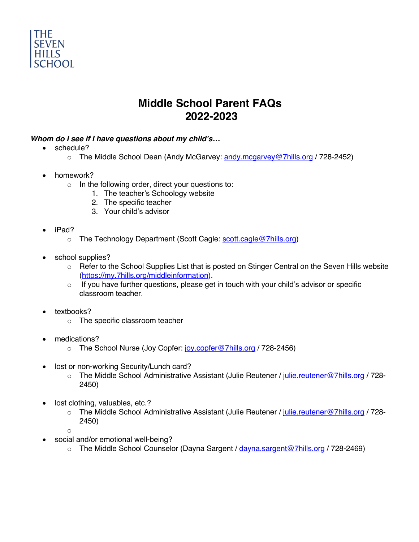

# **Middle School Parent FAQs 2022-2023**

## *Whom do I see if I have questions about my child's…*

- schedule?
	- o The Middle School Dean (Andy McGarvey: andy.mcgarvey@7hills.org / 728-2452)
- homework?
	- o In the following order, direct your questions to:
		- 1. The teacher's Schoology website
		- 2. The specific teacher
		- 3. Your child's advisor
- iPad?
	- o The Technology Department (Scott Cagle: scott.cagle@7hills.org)
- school supplies?
	- o Refer to the School Supplies List that is posted on Stinger Central on the Seven Hills website (https://my.7hills.org/middleinformation).
	- $\circ$  If you have further questions, please get in touch with your child's advisor or specific classroom teacher.
- textbooks?
	- o The specific classroom teacher
- medications?
	- o The School Nurse (Joy Copfer: joy.copfer@7hills.org / 728-2456)
- lost or non-working Security/Lunch card?
	- o The Middle School Administrative Assistant (Julie Reutener / julie.reutener@7hills.org / 728-2450)
- lost clothing, valuables, etc.?
	- o The Middle School Administrative Assistant (Julie Reutener / julie.reutener@7hills.org / 728-2450)
	- o
- social and/or emotional well-being?
	- o The Middle School Counselor (Dayna Sargent / dayna.sargent@7hills.org / 728-2469)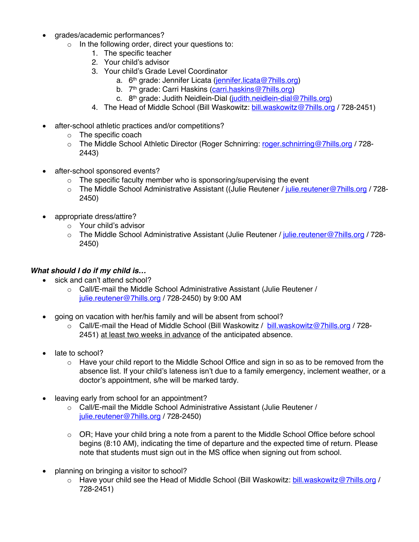- grades/academic performances?
	- $\circ$  In the following order, direct your questions to:
		- 1. The specific teacher
		- 2. Your child's advisor
		- 3. Your child's Grade Level Coordinator
			- a. 6<sup>th</sup> grade: Jennifer Licata (jennifer.licata@7hills.org)
			- b. 7<sup>th</sup> grade: Carri Haskins (carri.haskins@7hills.org)
			- c. 8<sup>th</sup> grade: Judith Neidlein-Dial (judith.neidlein-dial@7hills.org)
		- 4. The Head of Middle School (Bill Waskowitz: bill.waskowitz@7hills.org / 728-2451)
- after-school athletic practices and/or competitions?
	- o The specific coach
	- o The Middle School Athletic Director (Roger Schnirring: roger.schnirring@7hills.org / 728- 2443)
- after-school sponsored events?
	- $\circ$  The specific faculty member who is sponsoring/supervising the event
	- $\circ$  The Middle School Administrative Assistant ((Julie Reutener / julie.reutener@7hills.org / 728-2450)
- appropriate dress/attire?
	- o Your child's advisor
	- o The Middle School Administrative Assistant (Julie Reutener / julie.reutener@7hills.org / 728- 2450)

### *What should I do if my child is…*

- sick and can't attend school?
	- o Call/E-mail the Middle School Administrative Assistant (Julie Reutener / julie.reutener@7hills.org / 728-2450) by 9:00 AM
- going on vacation with her/his family and will be absent from school?
	- o Call/E-mail the Head of Middle School (Bill Waskowitz / bill.waskowitz@7hills.org / 728-2451) at least two weeks in advance of the anticipated absence.
- late to school?
	- $\circ$  Have your child report to the Middle School Office and sign in so as to be removed from the absence list. If your child's lateness isn't due to a family emergency, inclement weather, or a doctor's appointment, s/he will be marked tardy.
- leaving early from school for an appointment?
	- o Call/E-mail the Middle School Administrative Assistant (Julie Reutener / julie.reutener@7hills.org / 728-2450)
	- $\circ$  OR; Have your child bring a note from a parent to the Middle School Office before school begins (8:10 AM), indicating the time of departure and the expected time of return. Please note that students must sign out in the MS office when signing out from school.
- planning on bringing a visitor to school?
	- o Have your child see the Head of Middle School (Bill Waskowitz: bill.waskowitz@7hills.org / 728-2451)